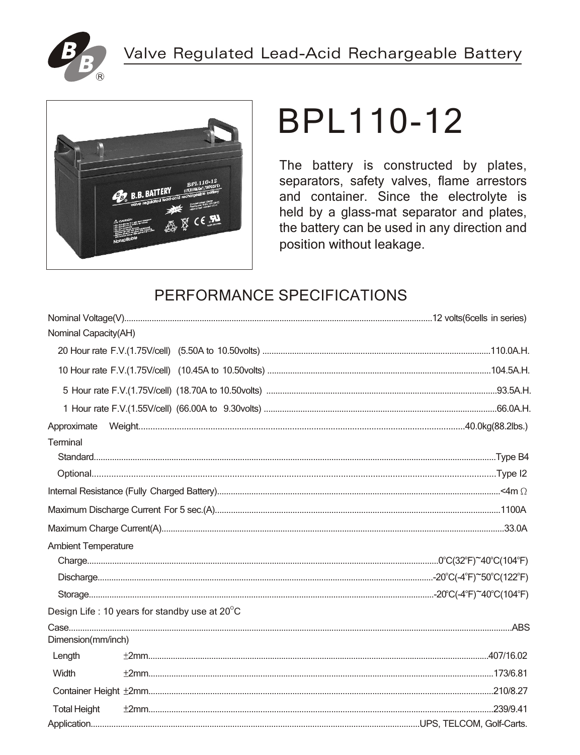



# BPL110-12

The battery is constructed by plates, separators, safety valves, flame arrestors and container. Since the electrolyte is held by a glass-mat separator and plates, the battery can be used in any direction and position without leakage.

## PERFORMANCE SPECIFICATIONS

| Nominal Capacity(AH)       |                                               |  |
|----------------------------|-----------------------------------------------|--|
|                            |                                               |  |
|                            |                                               |  |
|                            |                                               |  |
|                            |                                               |  |
| Approximate                |                                               |  |
| Terminal                   |                                               |  |
|                            |                                               |  |
|                            |                                               |  |
|                            |                                               |  |
|                            |                                               |  |
|                            |                                               |  |
| <b>Ambient Temperature</b> |                                               |  |
|                            |                                               |  |
|                            |                                               |  |
|                            |                                               |  |
|                            | Design Life: 10 years for standby use at 20°C |  |
| Dimension(mm/inch)         |                                               |  |
| Length                     |                                               |  |
| Width                      |                                               |  |
|                            |                                               |  |
| <b>Total Height</b>        |                                               |  |
|                            |                                               |  |